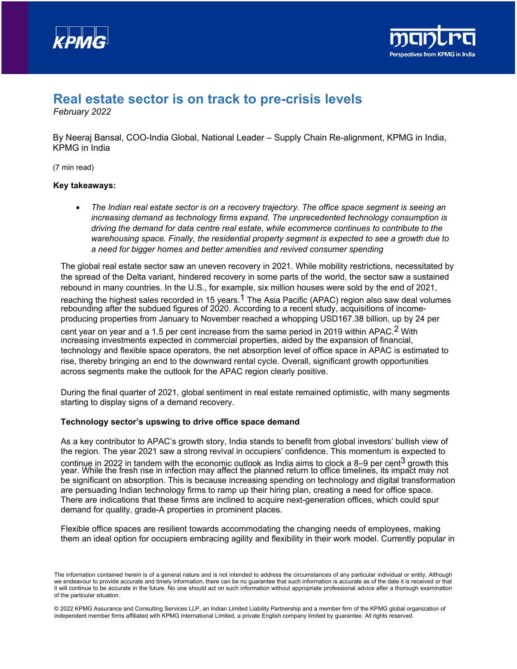



# **Real estate sector is on track to pre-crisis levels**

*February 2022*

By Neeraj Bansal, COO-India Global, National Leader – Supply Chain Re-alignment, KPMG in India, KPMG in India

(7 min read)

## **Key takeaways:**

• *The Indian real estate sector is on a recovery trajectory. The office space segment is seeing an increasing demand as technology firms expand. The unprecedented technology consumption is driving the demand for data centre real estate, while ecommerce continues to contribute to the warehousing space. Finally, the residential property segment is expected to see a growth due to a need for bigger homes and better amenities and revived consumer spending*

The global real estate sector saw an uneven recovery in 2021. While mobility restrictions, necessitated by the spread of the Delta variant, hindered recovery in some parts of the world, the sector saw a sustained rebound in many countries. In the U.S., for example, six million houses were sold by the end of 2021,

reaching the highest sales recorded in [1](#page-1-0)5 years.<sup>1</sup> The Asia Pacific (APAC) region also saw deal volumes rebounding after the subdued figures of 2020. According to a recent study, acquisitions of incomeproducing properties from January to November reached a whopping USD167.38 billion, up by 24 per

cent year on year and a 1.5 per cent increase from the same period in [2](#page-2-0)019 within APAC.<sup>2</sup> With increasing investments expected in commercial properties, aided by the expansion of financial, technology and flexible space operators, the net absorption level of office space in APAC is estimated to rise, thereby bringing an end to the downward rental cycle. Overall, significant growth opportunities across segments make the outlook for the APAC region clearly positive.

During the final quarter of 2021, global sentiment in real estate remained optimistic, with many segments starting to display signs of a demand recovery.

## **Technology sector's upswing to drive office space demand**

As a key contributor to APAC's growth story, India stands to benefit from global investors' bullish view of the region. The year 2021 saw a strong revival in occupiers' confidence. This momentum is expected to continue in 2022 in tandem with the economic outlook as India aims to clock a 8–9 per cent<sup>[3](#page-2-1)</sup> growth this year. While the fresh rise in infection may affect the planned return to office timelines, its impact may not be significant on absorption. This is because increasing spending on technology and digital transformation are persuading Indian technology firms to ramp up their hiring plan, creating a need for office space. There are indications that these firms are inclined to acquire next-generation offices, which could spur demand for quality, grade-A properties in prominent places.

Flexible office spaces are resilient towards accommodating the changing needs of employees, making them an ideal option for occupiers embracing agility and flexibility in their work model. Currently popular in

The information contained herein is of a general nature and is not intended to address the circumstances of any particular individual or entity. Although we endeavour to provide accurate and timely information, there can be no guarantee that such information is accurate as of the date it is received or that it will continue to be accurate in the future. No one should act on such information without appropriate professional advice after a thorough examination of the particular situation.

<sup>© 2022</sup> KPMG Assurance and Consulting Services LLP, an Indian Limited Liability Partnership and a member firm of the KPMG global organization of independent member firms affiliated with KPMG International Limited, a private English company limited by guarantee. All rights reserved.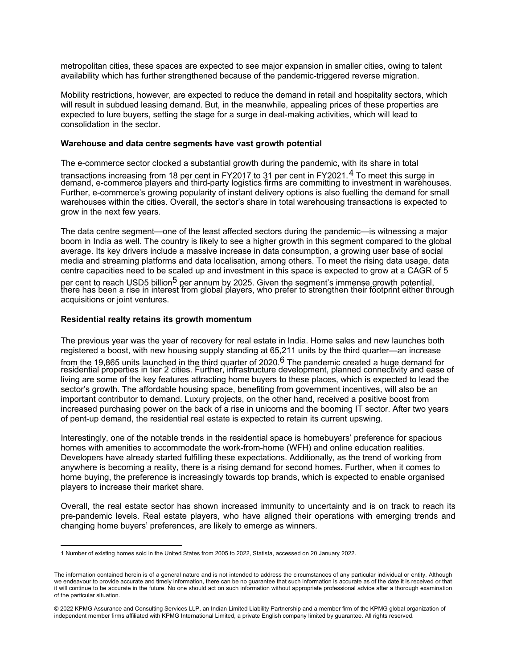metropolitan cities, these spaces are expected to see major expansion in smaller cities, owing to talent availability which has further strengthened because of the pandemic-triggered reverse migration.

Mobility restrictions, however, are expected to reduce the demand in retail and hospitality sectors, which will result in subdued leasing demand. But, in the meanwhile, appealing prices of these properties are expected to lure buyers, setting the stage for a surge in deal-making activities, which will lead to consolidation in the sector.

#### **Warehouse and data centre segments have vast growth potential**

The e-commerce sector clocked a substantial growth during the pandemic, with its share in total

transactions increasing from 18 per cent in FY2017 to 31 per cent in FY2021.<sup>[4](#page-2-2)</sup> To meet this surge in demand, e-commerce players and third-party logistics firms are committing to investment in warehouses. Further, e-commerce's growing popularity of instant delivery options is also fuelling the demand for small warehouses within the cities. Overall, the sector's share in total warehousing transactions is expected to grow in the next few years.

The data centre segment—one of the least affected sectors during the pandemic—is witnessing a major boom in India as well. The country is likely to see a higher growth in this segment compared to the global average. Its key drivers include a massive increase in data consumption, a growing user base of social media and streaming platforms and data localisation, among others. To meet the rising data usage, data centre capacities need to be scaled up and investment in this space is expected to grow at a CAGR of 5 per cent to reach USD5 billion<sup>5</sup> per annum by 2025. Given the segment's immense growth potential, there has been a rise in interest from global players, who prefer to strengthen their footprint either through acquisitions or joint ventures.

#### **Residential realty retains its growth momentum**

The previous year was the year of recovery for real estate in India. Home sales and new launches both registered a boost, with new housing supply standing at 65,211 units by the third quarter—an increase from the 19,8[6](#page-2-4)5 units launched in the third quarter of 2020. $^6$  The pandemic created a huge demand for residential properties in tier 2 cities. Further, infrastructure development, planned connectivity and ease of living are some of the key features attracting home buyers to these places, which is expected to lead the sector's growth. The affordable housing space, benefiting from government incentives, will also be an important contributor to demand. Luxury projects, on the other hand, received a positive boost from increased purchasing power on the back of a rise in unicorns and the booming IT sector. After two years of pent-up demand, the residential real estate is expected to retain its current upswing.

Interestingly, one of the notable trends in the residential space is homebuyers' preference for spacious homes with amenities to accommodate the work-from-home (WFH) and online education realities. Developers have already started fulfilling these expectations. Additionally, as the trend of working from anywhere is becoming a reality, there is a rising demand for second homes. Further, when it comes to home buying, the preference is increasingly towards top brands, which is expected to enable organised players to increase their market share.

Overall, the real estate sector has shown increased immunity to uncertainty and is on track to reach its pre-pandemic levels. Real estate players, who have aligned their operations with emerging trends and changing home buyers' preferences, are likely to emerge as winners.

<sup>1</sup> Number of existing homes sold in the United States from 2005 to 2022, Statista, accessed on 20 January 2022.

<span id="page-1-0"></span>The information contained herein is of a general nature and is not intended to address the circumstances of any particular individual or entity. Although we endeavour to provide accurate and timely information, there can be no guarantee that such information is accurate as of the date it is received or that it will continue to be accurate in the future. No one should act on such information without appropriate professional advice after a thorough examination of the particular situation.

<sup>© 2022</sup> KPMG Assurance and Consulting Services LLP, an Indian Limited Liability Partnership and a member firm of the KPMG global organization of independent member firms affiliated with KPMG International Limited, a private English company limited by guarantee. All rights reserved.